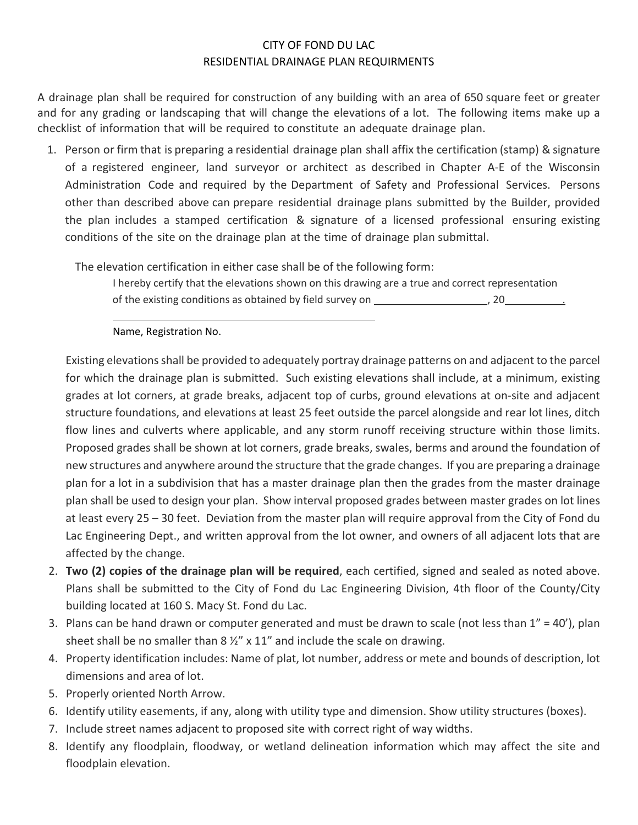## CITY OF FOND DU LAC RESIDENTIAL DRAINAGE PLAN REQUIRMENTS

A drainage plan shall be required for construction of any building with an area of 650 square feet or greater and for any grading or landscaping that will change the elevations of a lot. The following items make up a checklist of information that will be required to constitute an adequate drainage plan.

1. Person or firm that is preparing a residential drainage plan shall affix the certification (stamp) & signature of a registered engineer, land surveyor or architect as described in Chapter A-E of the Wisconsin Administration Code and required by the Department of Safety and Professional Services. Persons other than described above can prepare residential drainage plans submitted by the Builder, provided the plan includes a stamped certification & signature of a licensed professional ensuring existing conditions of the site on the drainage plan at the time of drainage plan submittal.

The elevation certification in either case shall be of the following form:

I hereby certify that the elevations shown on this drawing are a true and correct representation of the existing conditions as obtained by field survey on  $\sim$  , 20  $\sim$  ,

Name, Registration No.

Existing elevations shall be provided to adequately portray drainage patterns on and adjacent to the parcel for which the drainage plan is submitted. Such existing elevations shall include, at a minimum, existing grades at lot corners, at grade breaks, adjacent top of curbs, ground elevations at on-site and adjacent structure foundations, and elevations at least 25 feet outside the parcel alongside and rear lot lines, ditch flow lines and culverts where applicable, and any storm runoff receiving structure within those limits. Proposed grades shall be shown at lot corners, grade breaks, swales, berms and around the foundation of new structures and anywhere around the structure that the grade changes. If you are preparing a drainage plan for a lot in a subdivision that has a master drainage plan then the grades from the master drainage plan shall be used to design your plan. Show interval proposed grades between master grades on lot lines at least every 25 – 30 feet. Deviation from the master plan will require approval from the City of Fond du Lac Engineering Dept., and written approval from the lot owner, and owners of all adjacent lots that are affected by the change.

- 2. **Two (2) copies of the drainage plan will be required**, each certified, signed and sealed as noted above. Plans shall be submitted to the City of Fond du Lac Engineering Division, 4th floor of the County/City building located at 160 S. Macy St. Fond du Lac.
- 3. Plans can be hand drawn or computer generated and must be drawn to scale (not less than  $1'' = 40'$ ), plan sheet shall be no smaller than  $8\frac{1}{2}$  x 11" and include the scale on drawing.
- 4. Property identification includes: Name of plat, lot number, address or mete and bounds of description, lot dimensions and area of lot.
- 5. Properly oriented North Arrow.
- 6. Identify utility easements, if any, along with utility type and dimension. Show utility structures (boxes).
- 7. Include street names adjacent to proposed site with correct right of way widths.
- 8. Identify any floodplain, floodway, or wetland delineation information which may affect the site and floodplain elevation.